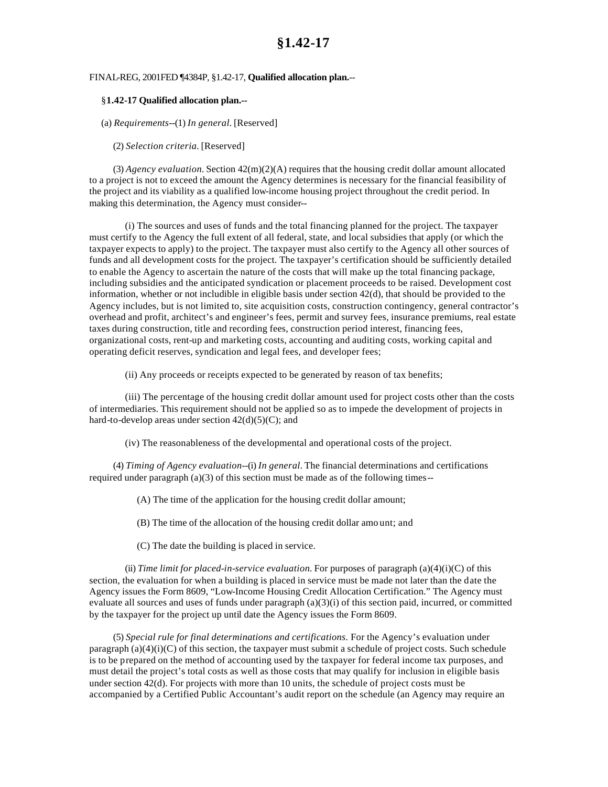## **§1.42-17**

## FINAL-REG, 2001FED ¶4384P, §1.42-17, **Qualified allocation plan.**--

## §**1.42-17 Qualified allocation plan.--**

(a) *Requirements*--(1) *In general.* [Reserved]

(2) *Selection criteria.* [Reserved]

 $(3)$  *Agency evaluation.* Section  $42(m)(2)(A)$  requires that the housing credit dollar amount allocated to a project is not to exceed the amount the Agency determines is necessary for the financial feasibility of the project and its viability as a qualified low-income housing project throughout the credit period. In making this determination, the Agency must consider--

(i) The sources and uses of funds and the total financing planned for the project. The taxpayer must certify to the Agency the full extent of all federal, state, and local subsidies that apply (or which the taxpayer expects to apply) to the project. The taxpayer must also certify to the Agency all other sources of funds and all development costs for the project. The taxpayer's certification should be sufficiently detailed to enable the Agency to ascertain the nature of the costs that will make up the total financing package, including subsidies and the anticipated syndication or placement proceeds to be raised. Development cost information, whether or not includible in eligible basis under section 42(d), that should be provided to the Agency includes, but is not limited to, site acquisition costs, construction contingency, general contractor's overhead and profit, architect's and engineer's fees, permit and survey fees, insurance premiums, real estate taxes during construction, title and recording fees, construction period interest, financing fees, organizational costs, rent-up and marketing costs, accounting and auditing costs, working capital and operating deficit reserves, syndication and legal fees, and developer fees;

(ii) Any proceeds or receipts expected to be generated by reason of tax benefits;

(iii) The percentage of the housing credit dollar amount used for project costs other than the costs of intermediaries. This requirement should not be applied so as to impede the development of projects in hard-to-develop areas under section  $42(d)(5)(C)$ ; and

(iv) The reasonableness of the developmental and operational costs of the project.

(4) *Timing of Agency evaluation*--(i) *In general.* The financial determinations and certifications required under paragraph (a)(3) of this section must be made as of the following times--

(A) The time of the application for the housing credit dollar amount;

(B) The time of the allocation of the housing credit dollar amo unt; and

(C) The date the building is placed in service.

(ii) *Time limit for placed-in-service evaluation.* For purposes of paragraph (a)(4)(i)(C) of this section, the evaluation for when a building is placed in service must be made not later than the date the Agency issues the Form 8609, "Low-Income Housing Credit Allocation Certification." The Agency must evaluate all sources and uses of funds under paragraph (a)(3)(i) of this section paid, incurred, or committed by the taxpayer for the project up until date the Agency issues the Form 8609.

(5) *Special rule for final determinations and certifications.* For the Agency's evaluation under paragraph  $(a)(4)(i)(C)$  of this section, the taxpayer must submit a schedule of project costs. Such schedule is to be prepared on the method of accounting used by the taxpayer for federal income tax purposes, and must detail the project's total costs as well as those costs that may qualify for inclusion in eligible basis under section 42(d). For projects with more than 10 units, the schedule of project costs must be accompanied by a Certified Public Accountant's audit report on the schedule (an Agency may require an